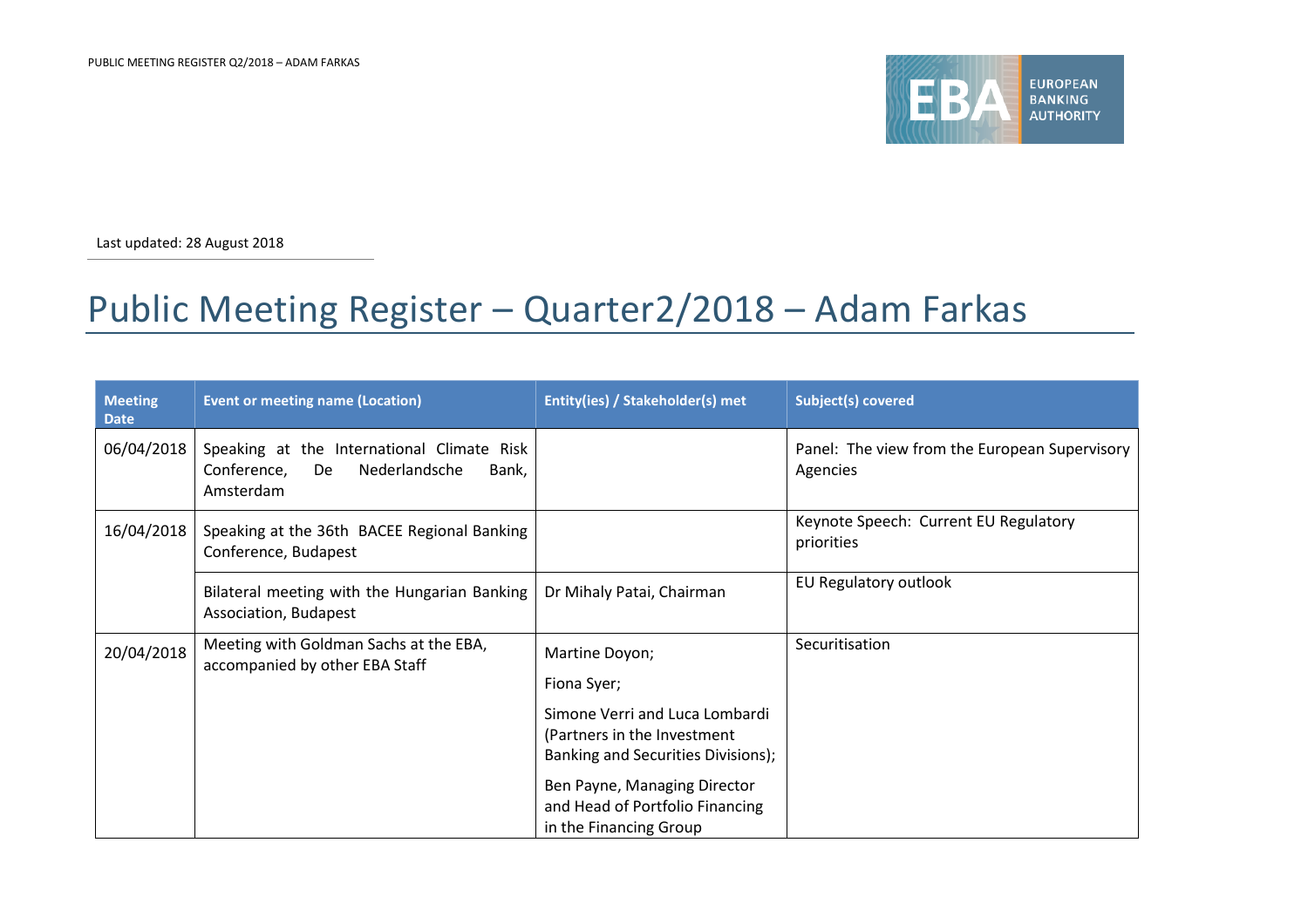

Last updated: 28 August 2018

## Public Meeting Register – Quarter2/2018 – Adam Farkas

| <b>Meeting</b><br><b>Date</b> | <b>Event or meeting name (Location)</b>                                                                | Entity(ies) / Stakeholder(s) met                                                                    | Subject(s) covered                                        |
|-------------------------------|--------------------------------------------------------------------------------------------------------|-----------------------------------------------------------------------------------------------------|-----------------------------------------------------------|
| 06/04/2018                    | Speaking at the International Climate Risk<br>Conference,<br>Nederlandsche<br>De<br>Bank,<br>Amsterdam |                                                                                                     | Panel: The view from the European Supervisory<br>Agencies |
| 16/04/2018                    | Speaking at the 36th BACEE Regional Banking<br>Conference, Budapest                                    |                                                                                                     | Keynote Speech: Current EU Regulatory<br>priorities       |
|                               | Bilateral meeting with the Hungarian Banking<br>Association, Budapest                                  | Dr Mihaly Patai, Chairman                                                                           | EU Regulatory outlook                                     |
| 20/04/2018                    | Meeting with Goldman Sachs at the EBA,<br>accompanied by other EBA Staff                               | Martine Doyon;<br>Fiona Syer;                                                                       | Securitisation                                            |
|                               |                                                                                                        | Simone Verri and Luca Lombardi<br>(Partners in the Investment<br>Banking and Securities Divisions); |                                                           |
|                               |                                                                                                        | Ben Payne, Managing Director<br>and Head of Portfolio Financing<br>in the Financing Group           |                                                           |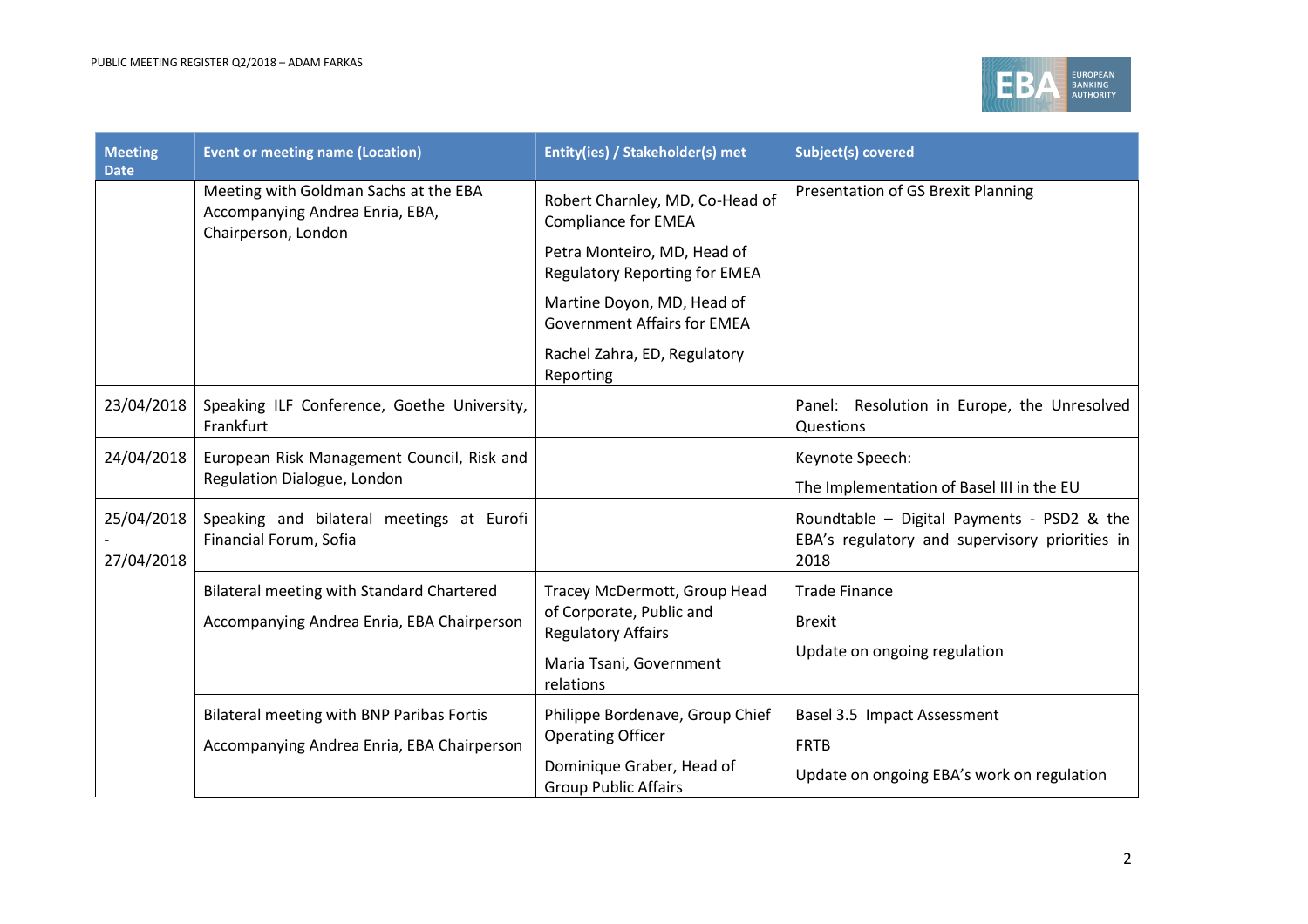

| <b>Meeting</b><br><b>Date</b> | <b>Event or meeting name (Location)</b>                                                         | Entity(ies) / Stakeholder(s) met                                    | <b>Subject(s) covered</b>                                                                            |
|-------------------------------|-------------------------------------------------------------------------------------------------|---------------------------------------------------------------------|------------------------------------------------------------------------------------------------------|
|                               | Meeting with Goldman Sachs at the EBA<br>Accompanying Andrea Enria, EBA,<br>Chairperson, London | Robert Charnley, MD, Co-Head of<br><b>Compliance for EMEA</b>       | Presentation of GS Brexit Planning                                                                   |
|                               |                                                                                                 | Petra Monteiro, MD, Head of<br><b>Regulatory Reporting for EMEA</b> |                                                                                                      |
|                               |                                                                                                 | Martine Doyon, MD, Head of<br><b>Government Affairs for EMEA</b>    |                                                                                                      |
|                               |                                                                                                 | Rachel Zahra, ED, Regulatory<br>Reporting                           |                                                                                                      |
| 23/04/2018                    | Speaking ILF Conference, Goethe University,<br>Frankfurt                                        |                                                                     | Panel: Resolution in Europe, the Unresolved<br>Questions                                             |
| 24/04/2018                    | European Risk Management Council, Risk and<br>Regulation Dialogue, London                       |                                                                     | Keynote Speech:<br>The Implementation of Basel III in the EU                                         |
| 25/04/2018<br>27/04/2018      | Speaking and bilateral meetings at Eurofi<br>Financial Forum, Sofia                             |                                                                     | Roundtable - Digital Payments - PSD2 & the<br>EBA's regulatory and supervisory priorities in<br>2018 |
|                               | Bilateral meeting with Standard Chartered                                                       | Tracey McDermott, Group Head                                        | <b>Trade Finance</b>                                                                                 |
|                               | Accompanying Andrea Enria, EBA Chairperson                                                      | of Corporate, Public and<br><b>Regulatory Affairs</b>               | <b>Brexit</b><br>Update on ongoing regulation                                                        |
|                               |                                                                                                 | Maria Tsani, Government<br>relations                                |                                                                                                      |
|                               | Bilateral meeting with BNP Paribas Fortis                                                       | Philippe Bordenave, Group Chief                                     | Basel 3.5 Impact Assessment                                                                          |
|                               | Accompanying Andrea Enria, EBA Chairperson                                                      | <b>Operating Officer</b>                                            | <b>FRTB</b>                                                                                          |
|                               |                                                                                                 | Dominique Graber, Head of<br><b>Group Public Affairs</b>            | Update on ongoing EBA's work on regulation                                                           |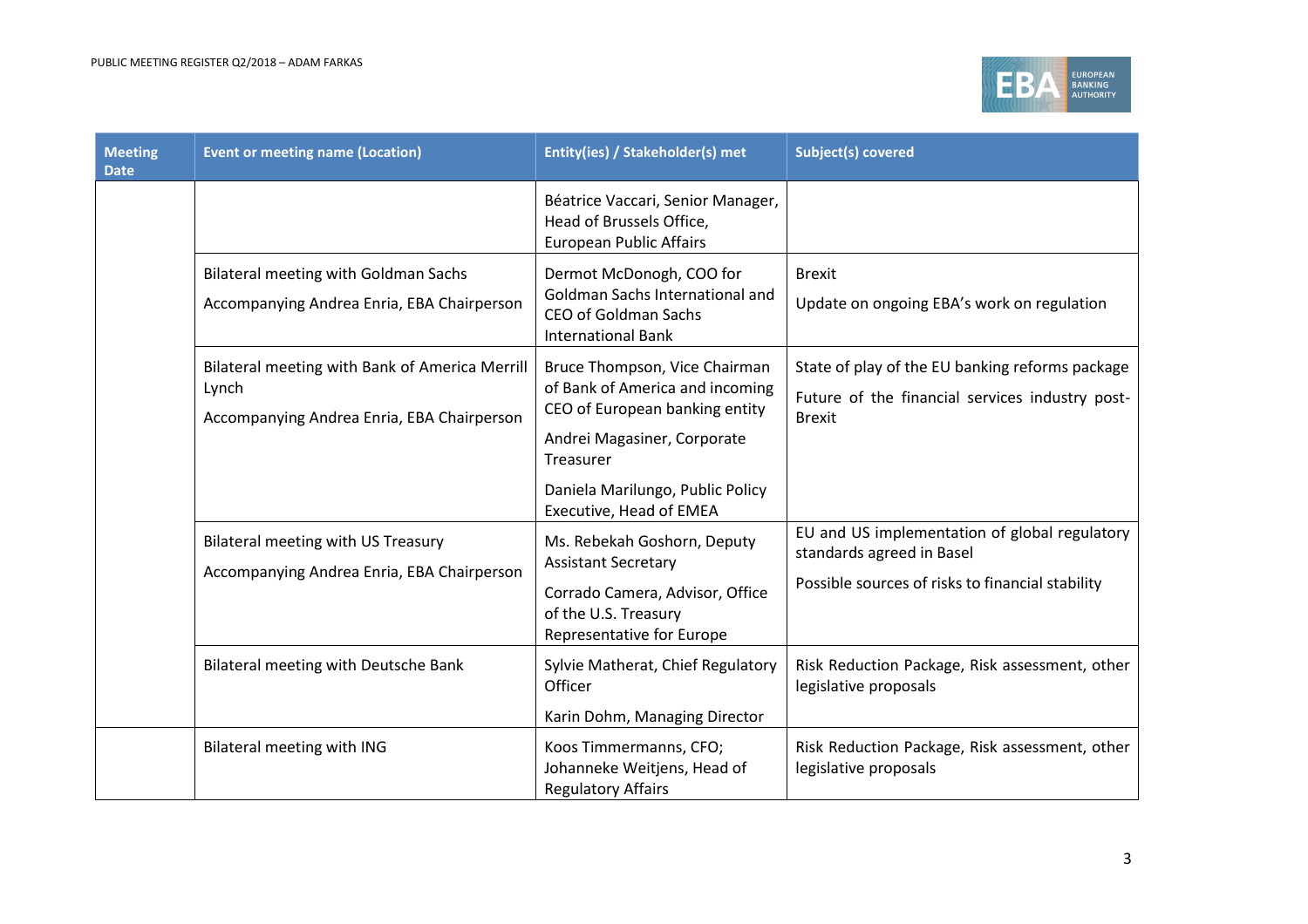

| <b>Meeting</b><br><b>Date</b> | <b>Event or meeting name (Location)</b>                                                               | Entity(ies) / Stakeholder(s) met                                                                                                                  | <b>Subject(s) covered</b>                                                                                                      |
|-------------------------------|-------------------------------------------------------------------------------------------------------|---------------------------------------------------------------------------------------------------------------------------------------------------|--------------------------------------------------------------------------------------------------------------------------------|
|                               |                                                                                                       | Béatrice Vaccari, Senior Manager,<br>Head of Brussels Office,<br><b>European Public Affairs</b>                                                   |                                                                                                                                |
|                               | <b>Bilateral meeting with Goldman Sachs</b><br>Accompanying Andrea Enria, EBA Chairperson             | Dermot McDonogh, COO for<br>Goldman Sachs International and<br><b>CEO of Goldman Sachs</b><br><b>International Bank</b>                           | <b>Brexit</b><br>Update on ongoing EBA's work on regulation                                                                    |
|                               | Bilateral meeting with Bank of America Merrill<br>Lynch<br>Accompanying Andrea Enria, EBA Chairperson | Bruce Thompson, Vice Chairman<br>of Bank of America and incoming<br>CEO of European banking entity<br>Andrei Magasiner, Corporate<br>Treasurer    | State of play of the EU banking reforms package<br>Future of the financial services industry post-<br><b>Brexit</b>            |
|                               |                                                                                                       | Daniela Marilungo, Public Policy<br>Executive, Head of EMEA                                                                                       |                                                                                                                                |
|                               | <b>Bilateral meeting with US Treasury</b><br>Accompanying Andrea Enria, EBA Chairperson               | Ms. Rebekah Goshorn, Deputy<br><b>Assistant Secretary</b><br>Corrado Camera, Advisor, Office<br>of the U.S. Treasury<br>Representative for Europe | EU and US implementation of global regulatory<br>standards agreed in Basel<br>Possible sources of risks to financial stability |
|                               | Bilateral meeting with Deutsche Bank                                                                  | Sylvie Matherat, Chief Regulatory<br>Officer<br>Karin Dohm, Managing Director                                                                     | Risk Reduction Package, Risk assessment, other<br>legislative proposals                                                        |
|                               | Bilateral meeting with ING                                                                            | Koos Timmermanns, CFO;<br>Johanneke Weitjens, Head of<br><b>Regulatory Affairs</b>                                                                | Risk Reduction Package, Risk assessment, other<br>legislative proposals                                                        |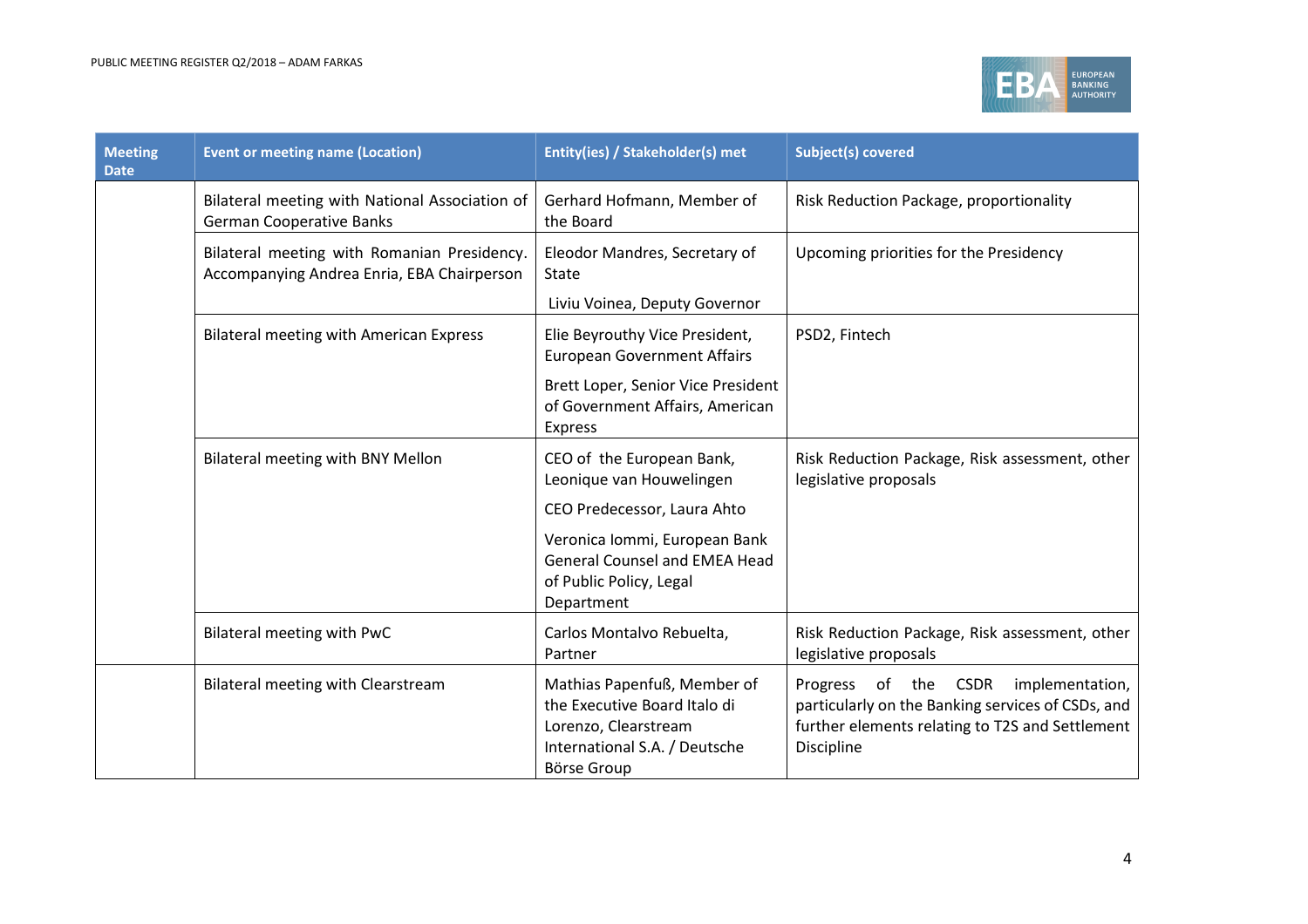

| <b>Meeting</b><br><b>Date</b> | <b>Event or meeting name (Location)</b>                                                   | Entity(ies) / Stakeholder(s) met                                                                                                           | <b>Subject(s) covered</b>                                                                                                                                     |
|-------------------------------|-------------------------------------------------------------------------------------------|--------------------------------------------------------------------------------------------------------------------------------------------|---------------------------------------------------------------------------------------------------------------------------------------------------------------|
|                               | Bilateral meeting with National Association of<br><b>German Cooperative Banks</b>         | Gerhard Hofmann, Member of<br>the Board                                                                                                    | Risk Reduction Package, proportionality                                                                                                                       |
|                               | Bilateral meeting with Romanian Presidency.<br>Accompanying Andrea Enria, EBA Chairperson | Eleodor Mandres, Secretary of<br>State<br>Liviu Voinea, Deputy Governor                                                                    | Upcoming priorities for the Presidency                                                                                                                        |
|                               | <b>Bilateral meeting with American Express</b>                                            | Elie Beyrouthy Vice President,<br><b>European Government Affairs</b>                                                                       | PSD2, Fintech                                                                                                                                                 |
|                               |                                                                                           | Brett Loper, Senior Vice President<br>of Government Affairs, American<br><b>Express</b>                                                    |                                                                                                                                                               |
|                               | Bilateral meeting with BNY Mellon                                                         | CEO of the European Bank,<br>Leonique van Houwelingen                                                                                      | Risk Reduction Package, Risk assessment, other<br>legislative proposals                                                                                       |
|                               |                                                                                           | CEO Predecessor, Laura Ahto                                                                                                                |                                                                                                                                                               |
|                               |                                                                                           | Veronica Iommi, European Bank<br><b>General Counsel and EMEA Head</b><br>of Public Policy, Legal<br>Department                             |                                                                                                                                                               |
|                               | Bilateral meeting with PwC                                                                | Carlos Montalvo Rebuelta,<br>Partner                                                                                                       | Risk Reduction Package, Risk assessment, other<br>legislative proposals                                                                                       |
|                               | <b>Bilateral meeting with Clearstream</b>                                                 | Mathias Papenfuß, Member of<br>the Executive Board Italo di<br>Lorenzo, Clearstream<br>International S.A. / Deutsche<br><b>Börse Group</b> | Progress of the CSDR<br>implementation,<br>particularly on the Banking services of CSDs, and<br>further elements relating to T2S and Settlement<br>Discipline |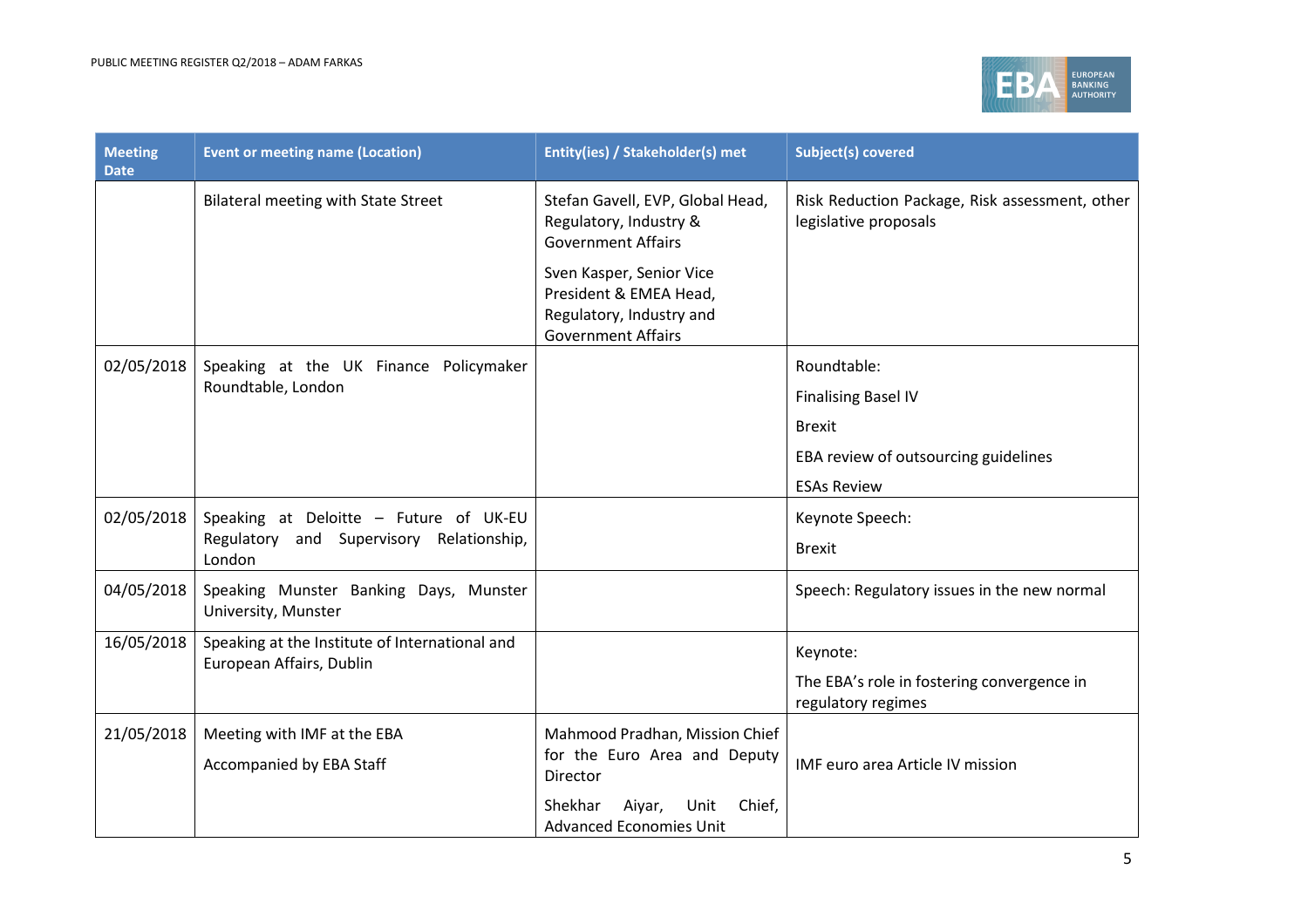

| <b>Meeting</b><br><b>Date</b> | <b>Event or meeting name (Location)</b>                                                      | Entity(ies) / Stakeholder(s) met                                                                                                                                                                       | <b>Subject(s) covered</b>                                                                                                |
|-------------------------------|----------------------------------------------------------------------------------------------|--------------------------------------------------------------------------------------------------------------------------------------------------------------------------------------------------------|--------------------------------------------------------------------------------------------------------------------------|
|                               | <b>Bilateral meeting with State Street</b>                                                   | Stefan Gavell, EVP, Global Head,<br>Regulatory, Industry &<br><b>Government Affairs</b><br>Sven Kasper, Senior Vice<br>President & EMEA Head,<br>Regulatory, Industry and<br><b>Government Affairs</b> | Risk Reduction Package, Risk assessment, other<br>legislative proposals                                                  |
| 02/05/2018                    | Speaking at the UK Finance Policymaker<br>Roundtable, London                                 |                                                                                                                                                                                                        | Roundtable:<br><b>Finalising Basel IV</b><br><b>Brexit</b><br>EBA review of outsourcing guidelines<br><b>ESAs Review</b> |
| 02/05/2018                    | Speaking at Deloitte - Future of UK-EU<br>Regulatory and Supervisory Relationship,<br>London |                                                                                                                                                                                                        | Keynote Speech:<br><b>Brexit</b>                                                                                         |
| 04/05/2018                    | Speaking Munster Banking Days, Munster<br>University, Munster                                |                                                                                                                                                                                                        | Speech: Regulatory issues in the new normal                                                                              |
| 16/05/2018                    | Speaking at the Institute of International and<br>European Affairs, Dublin                   |                                                                                                                                                                                                        | Keynote:<br>The EBA's role in fostering convergence in<br>regulatory regimes                                             |
| 21/05/2018                    | Meeting with IMF at the EBA<br>Accompanied by EBA Staff                                      | Mahmood Pradhan, Mission Chief<br>for the Euro Area and Deputy<br>Director<br>Shekhar<br>Aiyar,<br>Unit<br>Chief,<br><b>Advanced Economies Unit</b>                                                    | IMF euro area Article IV mission                                                                                         |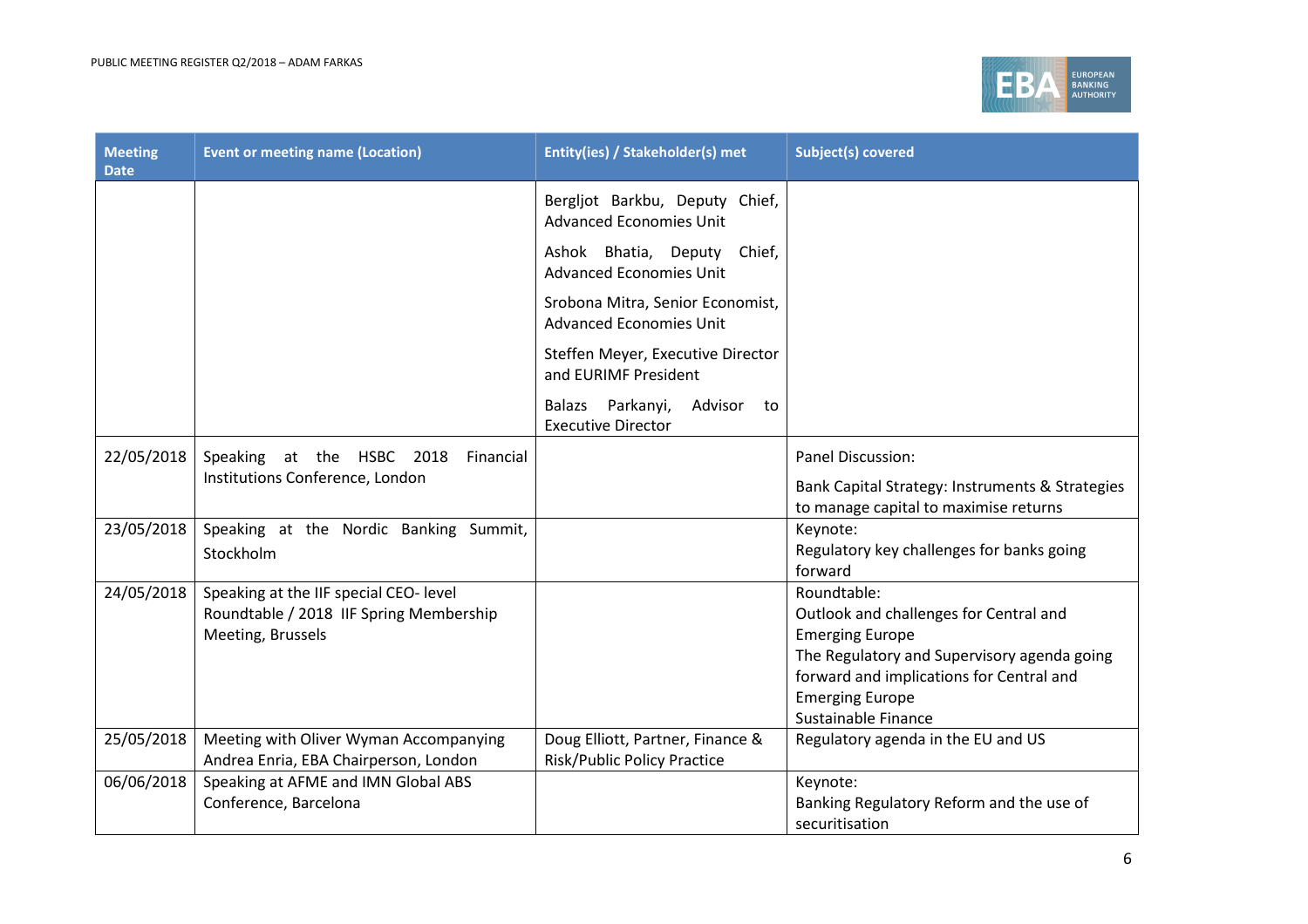

| <b>Meeting</b><br><b>Date</b> | <b>Event or meeting name (Location)</b> | Entity(ies) / Stakeholder(s) met                                   | <b>Subject(s) covered</b>                                                                |
|-------------------------------|-----------------------------------------|--------------------------------------------------------------------|------------------------------------------------------------------------------------------|
|                               |                                         | Bergljot Barkbu, Deputy Chief,<br><b>Advanced Economies Unit</b>   |                                                                                          |
|                               |                                         | Ashok Bhatia, Deputy Chief,<br><b>Advanced Economies Unit</b>      |                                                                                          |
|                               |                                         | Srobona Mitra, Senior Economist,<br><b>Advanced Economies Unit</b> |                                                                                          |
|                               |                                         | Steffen Meyer, Executive Director<br>and EURIMF President          |                                                                                          |
|                               |                                         | Advisor<br>Balazs Parkanyi,<br>to<br><b>Executive Director</b>     |                                                                                          |
| 22/05/2018                    | Speaking at the HSBC 2018<br>Financial  |                                                                    | Panel Discussion:                                                                        |
|                               | Institutions Conference, London         |                                                                    | Bank Capital Strategy: Instruments & Strategies<br>to manage capital to maximise returns |
| 23/05/2018                    | Speaking at the Nordic Banking Summit,  |                                                                    | Keynote:                                                                                 |
|                               | Stockholm                               |                                                                    | Regulatory key challenges for banks going<br>forward                                     |
| 24/05/2018                    | Speaking at the IIF special CEO- level  |                                                                    | Roundtable:                                                                              |
|                               | Roundtable / 2018 IIF Spring Membership |                                                                    | Outlook and challenges for Central and                                                   |
|                               | Meeting, Brussels                       |                                                                    | <b>Emerging Europe</b>                                                                   |
|                               |                                         |                                                                    | The Regulatory and Supervisory agenda going<br>forward and implications for Central and  |
|                               |                                         |                                                                    | <b>Emerging Europe</b>                                                                   |
|                               |                                         |                                                                    | Sustainable Finance                                                                      |
| 25/05/2018                    | Meeting with Oliver Wyman Accompanying  | Doug Elliott, Partner, Finance &                                   | Regulatory agenda in the EU and US                                                       |
|                               | Andrea Enria, EBA Chairperson, London   | <b>Risk/Public Policy Practice</b>                                 |                                                                                          |
| 06/06/2018                    | Speaking at AFME and IMN Global ABS     |                                                                    | Keynote:                                                                                 |
|                               | Conference, Barcelona                   |                                                                    | Banking Regulatory Reform and the use of                                                 |
|                               |                                         |                                                                    | securitisation                                                                           |